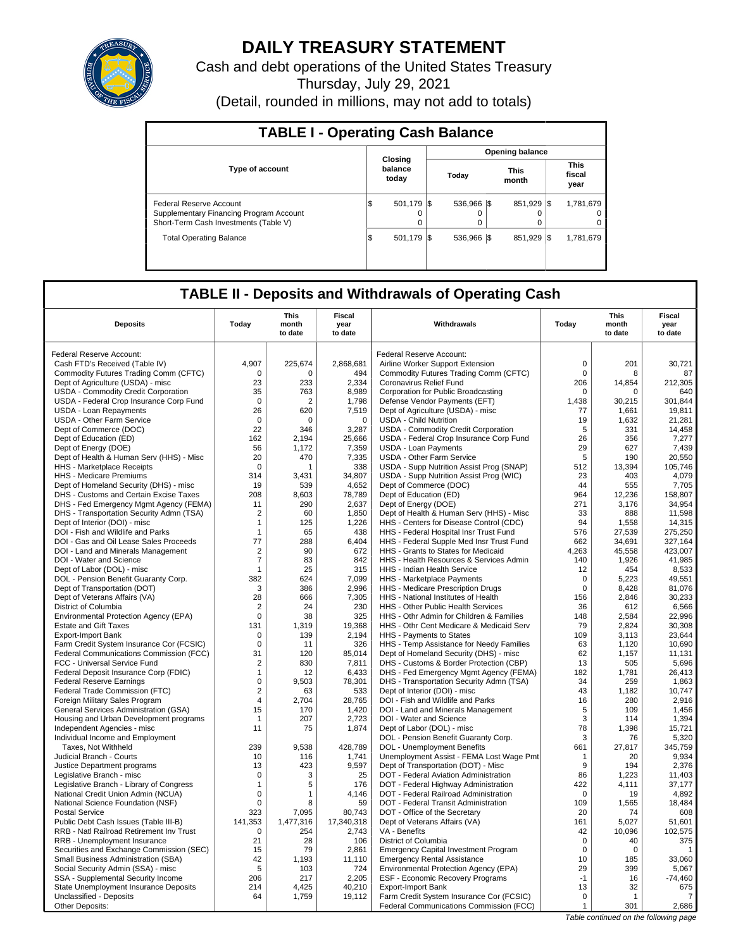

# **DAILY TREASURY STATEMENT**

Cash and debt operations of the United States Treasury Thursday, July 29, 2021

(Detail, rounded in millions, may not add to totals)

| <b>TABLE I - Operating Cash Balance</b>                                                                     |                              |                 |                        |                               |  |  |  |  |  |  |
|-------------------------------------------------------------------------------------------------------------|------------------------------|-----------------|------------------------|-------------------------------|--|--|--|--|--|--|
|                                                                                                             |                              |                 | <b>Opening balance</b> |                               |  |  |  |  |  |  |
| <b>Type of account</b>                                                                                      | Closing<br>balance<br>today  | Today           | <b>This</b><br>month   | <b>This</b><br>fiscal<br>year |  |  |  |  |  |  |
| Federal Reserve Account<br>Supplementary Financing Program Account<br>Short-Term Cash Investments (Table V) | 501.179 S<br>I\$<br>$\Omega$ | 536,966 \$<br>0 | 851.929 \\$            | 1,781,679<br>0<br>0           |  |  |  |  |  |  |
| <b>Total Operating Balance</b>                                                                              | 501,179 \$<br>I\$            | 536.966 \\$     | 851.929 \\$            | 1,781,679                     |  |  |  |  |  |  |

## **TABLE II - Deposits and Withdrawals of Operating Cash**

| <b>Deposits</b>                                                       | Today              | <b>This</b><br>month<br>to date | <b>Fiscal</b><br>year<br>to date | Withdrawals                                                                          | Today        | <b>This</b><br>month<br>to date | Fiscal<br>year<br>to date |
|-----------------------------------------------------------------------|--------------------|---------------------------------|----------------------------------|--------------------------------------------------------------------------------------|--------------|---------------------------------|---------------------------|
| Federal Reserve Account:                                              |                    |                                 |                                  | Federal Reserve Account:                                                             |              |                                 |                           |
| Cash FTD's Received (Table IV)                                        | 4.907              | 225,674                         | 2,868,681                        | Airline Worker Support Extension                                                     | $\mathbf 0$  | 201                             | 30,721                    |
| Commodity Futures Trading Comm (CFTC)                                 | $\Omega$           | $\Omega$                        | 494                              | Commodity Futures Trading Comm (CFTC)                                                | $\Omega$     | 8                               | 87                        |
| Dept of Agriculture (USDA) - misc                                     | 23                 | 233                             | 2,334                            | Coronavirus Relief Fund                                                              | 206          | 14,854                          | 212,305                   |
| USDA - Commodity Credit Corporation                                   | 35                 | 763                             | 8,989                            | Corporation for Public Broadcasting                                                  | $\mathbf 0$  | $\Omega$                        | 640                       |
| USDA - Federal Crop Insurance Corp Fund                               | $\mathbf 0$        | 2                               | 1,798                            | Defense Vendor Payments (EFT)                                                        | 1.438        | 30.215                          | 301.844                   |
| USDA - Loan Repayments                                                | 26                 | 620                             | 7,519                            | Dept of Agriculture (USDA) - misc                                                    | 77           | 1,661                           | 19,811                    |
| <b>USDA - Other Farm Service</b>                                      | 0                  | $\Omega$                        | $\Omega$                         | <b>USDA - Child Nutrition</b>                                                        | 19           | 1.632                           | 21.281                    |
| Dept of Commerce (DOC)                                                | 22                 | 346                             | 3,287                            | USDA - Commodity Credit Corporation                                                  | 5            | 331                             | 14,458                    |
| Dept of Education (ED)                                                | 162                | 2.194                           | 25,666                           | USDA - Federal Crop Insurance Corp Fund                                              | 26           | 356                             | 7,277                     |
| Dept of Energy (DOE)                                                  | 56                 | 1,172                           | 7,359                            | <b>USDA - Loan Payments</b>                                                          | 29           | 627                             | 7,439                     |
| Dept of Health & Human Serv (HHS) - Misc                              | 20                 | 470                             | 7,335                            | <b>USDA - Other Farm Service</b>                                                     | 5            | 190                             | 20,550                    |
| HHS - Marketplace Receipts                                            | $\mathbf 0$        | 1                               | 338                              | USDA - Supp Nutrition Assist Prog (SNAP)                                             | 512          | 13.394                          | 105,746                   |
| HHS - Medicare Premiums                                               | 314                | 3.431                           | 34,807                           | USDA - Supp Nutrition Assist Prog (WIC)                                              | 23           | 403                             | 4.079                     |
| Dept of Homeland Security (DHS) - misc                                | 19                 | 539                             | 4,652                            | Dept of Commerce (DOC)                                                               | 44           | 555                             | 7,705                     |
| DHS - Customs and Certain Excise Taxes                                | 208                | 8,603                           | 78,789                           | Dept of Education (ED)                                                               | 964          | 12,236                          | 158,807                   |
| DHS - Fed Emergency Mgmt Agency (FEMA)                                | 11                 | 290                             | 2,637                            | Dept of Energy (DOE)                                                                 | 271          | 3,176                           | 34,954                    |
| DHS - Transportation Security Admn (TSA)                              | 2                  | 60                              | 1.850                            | Dept of Health & Human Serv (HHS) - Misc                                             | 33           | 888                             | 11.598                    |
| Dept of Interior (DOI) - misc                                         | $\mathbf{1}$       | 125                             | 1,226                            | HHS - Centers for Disease Control (CDC)                                              | 94           | 1,558                           | 14,315                    |
| DOI - Fish and Wildlife and Parks                                     | $\mathbf{1}$       | 65                              | 438                              | HHS - Federal Hospital Insr Trust Fund                                               | 576          | 27.539                          | 275,250                   |
| DOI - Gas and Oil Lease Sales Proceeds                                | 77                 | 288                             | 6,404                            | HHS - Federal Supple Med Insr Trust Fund                                             | 662          | 34,691                          | 327,164                   |
| DOI - Land and Minerals Management                                    | $\overline{2}$     | 90                              | 672                              | HHS - Grants to States for Medicaid                                                  | 4,263        | 45.558                          | 423.007                   |
| DOI - Water and Science                                               | $\overline{7}$     | 83                              | 842                              | HHS - Health Resources & Services Admin                                              | 140          | 1,926                           | 41,985                    |
| Dept of Labor (DOL) - misc                                            | $\mathbf{1}$       | 25                              | 315                              | HHS - Indian Health Service                                                          | 12           | 454                             | 8,533                     |
| DOL - Pension Benefit Guaranty Corp.                                  | 382                | 624                             | 7,099                            | HHS - Marketplace Payments                                                           | 0            | 5,223                           | 49,551                    |
| Dept of Transportation (DOT)                                          | 3                  | 386                             | 2,996                            | HHS - Medicare Prescription Drugs                                                    | $\mathbf 0$  | 8,428                           | 81,076                    |
| Dept of Veterans Affairs (VA)                                         | 28                 | 666                             | 7,305                            | HHS - National Institutes of Health                                                  | 156          | 2,846                           | 30,233                    |
| District of Columbia                                                  | 2                  | 24                              | 230                              | HHS - Other Public Health Services                                                   | 36           | 612                             | 6,566                     |
| Environmental Protection Agency (EPA)<br><b>Estate and Gift Taxes</b> | $\mathbf 0$<br>131 | 38<br>1,319                     | 325<br>19,368                    | HHS - Othr Admin for Children & Families<br>HHS - Othr Cent Medicare & Medicaid Serv | 148<br>79    | 2,584<br>2,824                  | 22,996<br>30,308          |
| <b>Export-Import Bank</b>                                             | $\Omega$           | 139                             | 2,194                            | HHS - Payments to States                                                             | 109          | 3,113                           | 23,644                    |
| Farm Credit System Insurance Cor (FCSIC)                              | $\mathbf 0$        | 11                              | 326                              | HHS - Temp Assistance for Needy Families                                             | 63           | 1,120                           | 10,690                    |
| Federal Communications Commission (FCC)                               | 31                 | 120                             | 85,014                           | Dept of Homeland Security (DHS) - misc                                               | 62           | 1,157                           | 11,131                    |
| FCC - Universal Service Fund                                          | $\overline{2}$     | 830                             | 7,811                            | DHS - Customs & Border Protection (CBP)                                              | 13           | 505                             | 5,696                     |
| Federal Deposit Insurance Corp (FDIC)                                 | $\mathbf{1}$       | 12                              | 6,433                            | DHS - Fed Emergency Mgmt Agency (FEMA)                                               | 182          | 1,781                           | 26,413                    |
| <b>Federal Reserve Earnings</b>                                       | $\mathbf 0$        | 9,503                           | 78,301                           | DHS - Transportation Security Admn (TSA)                                             | 34           | 259                             | 1,863                     |
| Federal Trade Commission (FTC)                                        | 2                  | 63                              | 533                              | Dept of Interior (DOI) - misc                                                        | 43           | 1,182                           | 10,747                    |
| Foreign Military Sales Program                                        | $\overline{4}$     | 2,704                           | 28,765                           | DOI - Fish and Wildlife and Parks                                                    | 16           | 280                             | 2,916                     |
| <b>General Services Administration (GSA)</b>                          | 15                 | 170                             | 1,420                            | DOI - Land and Minerals Management                                                   | 5            | 109                             | 1,456                     |
| Housing and Urban Development programs                                | $\mathbf{1}$       | 207                             | 2,723                            | DOI - Water and Science                                                              | 3            | 114                             | 1,394                     |
| Independent Agencies - misc                                           | 11                 | 75                              | 1,874                            | Dept of Labor (DOL) - misc                                                           | 78           | 1.398                           | 15,721                    |
| Individual Income and Employment                                      |                    |                                 |                                  | DOL - Pension Benefit Guaranty Corp.                                                 | 3            | 76                              | 5,320                     |
| Taxes, Not Withheld                                                   | 239                | 9.538                           | 428,789                          | DOL - Unemployment Benefits                                                          | 661          | 27,817                          | 345,759                   |
| Judicial Branch - Courts                                              | 10                 | 116                             | 1,741                            | Unemployment Assist - FEMA Lost Wage Pmt                                             | $\mathbf{1}$ | 20                              | 9.934                     |
| Justice Department programs                                           | 13                 | 423                             | 9,597                            | Dept of Transportation (DOT) - Misc                                                  | 9            | 194                             | 2,376                     |
| Legislative Branch - misc                                             | $\mathbf 0$        | 3                               | 25                               | DOT - Federal Aviation Administration                                                | 86           | 1,223                           | 11,403                    |
| Legislative Branch - Library of Congress                              | 1                  | 5                               | 176                              | DOT - Federal Highway Administration                                                 | 422          | 4,111                           | 37.177                    |
| National Credit Union Admin (NCUA)                                    | $\mathbf 0$        | 1                               | 4,146                            | DOT - Federal Railroad Administration                                                | $\Omega$     | 19                              | 4,892                     |
| National Science Foundation (NSF)                                     | $\mathbf 0$        | 8                               | 59                               | DOT - Federal Transit Administration                                                 | 109          | 1,565                           | 18.484                    |
| <b>Postal Service</b>                                                 | 323                | 7,095                           | 80,743                           | DOT - Office of the Secretary                                                        | 20           | 74                              | 608                       |
| Public Debt Cash Issues (Table III-B)                                 | 141,353            | 1,477,316                       | 17,340,318                       | Dept of Veterans Affairs (VA)                                                        | 161          | 5,027                           | 51.601                    |
| RRB - Natl Railroad Retirement Inv Trust                              | $\mathbf 0$        | 254                             | 2,743                            | VA - Benefits                                                                        | 42           | 10,096                          | 102,575                   |
| RRB - Unemployment Insurance                                          | 21                 | 28                              | 106                              | District of Columbia                                                                 | $\mathbf 0$  | 40                              | 375                       |
| Securities and Exchange Commission (SEC)                              | 15                 | 79                              | 2,861                            | <b>Emergency Capital Investment Program</b>                                          | $\mathbf 0$  | $\mathbf 0$                     | $\mathbf{1}$              |
| Small Business Administration (SBA)                                   | 42                 | 1.193                           | 11,110                           | <b>Emergency Rental Assistance</b>                                                   | 10           | 185                             | 33,060                    |
| Social Security Admin (SSA) - misc                                    | 5                  | 103                             | 724                              | Environmental Protection Agency (EPA)                                                | 29           | 399                             | 5,067                     |
| SSA - Supplemental Security Income                                    | 206                | 217                             | 2,205                            | <b>ESF - Economic Recovery Programs</b>                                              | $-1$         | 16                              | $-74,460$                 |
| State Unemployment Insurance Deposits                                 | 214                | 4,425                           | 40,210                           | <b>Export-Import Bank</b>                                                            | 13           | 32                              | 675                       |
| Unclassified - Deposits                                               | 64                 | 1,759                           | 19,112                           | Farm Credit System Insurance Cor (FCSIC)                                             | $\mathbf 0$  | $\mathbf{1}$                    | 7                         |
| Other Deposits:                                                       |                    |                                 |                                  | Federal Communications Commission (FCC)                                              | $\mathbf{1}$ | 301                             | 2,686                     |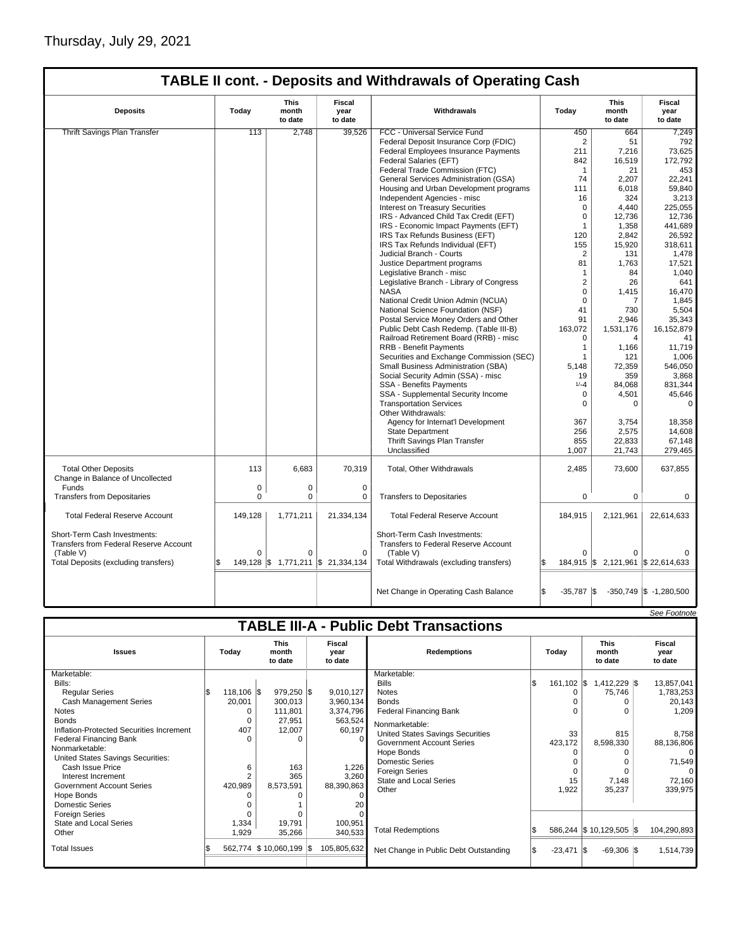|                                                                                                                                    | <b>TABLE II cont. - Deposits and Withdrawals of Operating Cash</b> |                                 |                                         |                                                                                                                              |                    |                                              |                            |  |  |  |
|------------------------------------------------------------------------------------------------------------------------------------|--------------------------------------------------------------------|---------------------------------|-----------------------------------------|------------------------------------------------------------------------------------------------------------------------------|--------------------|----------------------------------------------|----------------------------|--|--|--|
| <b>Deposits</b>                                                                                                                    | Today                                                              | <b>This</b><br>month<br>to date | Fiscal<br>year<br>to date               | Withdrawals                                                                                                                  | Today              | <b>This</b><br>month<br>to date              | Fiscal<br>year<br>to date  |  |  |  |
| Thrift Savings Plan Transfer                                                                                                       | 113                                                                | 2,748                           | 39,526                                  | FCC - Universal Service Fund                                                                                                 | 450                | 664                                          | 7,249                      |  |  |  |
|                                                                                                                                    |                                                                    |                                 |                                         | Federal Deposit Insurance Corp (FDIC)                                                                                        | $\overline{2}$     | 51                                           | 792                        |  |  |  |
|                                                                                                                                    |                                                                    |                                 |                                         | Federal Employees Insurance Payments                                                                                         | 211                | 7,216                                        | 73,625                     |  |  |  |
|                                                                                                                                    |                                                                    |                                 |                                         | Federal Salaries (EFT)                                                                                                       | 842                | 16,519                                       | 172,792                    |  |  |  |
|                                                                                                                                    |                                                                    |                                 |                                         | Federal Trade Commission (FTC)                                                                                               | $\mathbf{1}$       | 21                                           | 453                        |  |  |  |
|                                                                                                                                    |                                                                    |                                 |                                         | General Services Administration (GSA)                                                                                        | 74                 | 2,207                                        | 22,241                     |  |  |  |
|                                                                                                                                    |                                                                    |                                 |                                         | Housing and Urban Development programs                                                                                       | 111                | 6,018                                        | 59,840                     |  |  |  |
|                                                                                                                                    |                                                                    |                                 |                                         | Independent Agencies - misc                                                                                                  | 16                 | 324                                          | 3,213                      |  |  |  |
|                                                                                                                                    |                                                                    |                                 |                                         | <b>Interest on Treasury Securities</b>                                                                                       | $\Omega$           | 4,440                                        | 225,055                    |  |  |  |
|                                                                                                                                    |                                                                    |                                 |                                         | IRS - Advanced Child Tax Credit (EFT)                                                                                        | $\mathbf 0$        | 12,736                                       | 12,736                     |  |  |  |
|                                                                                                                                    |                                                                    |                                 |                                         | IRS - Economic Impact Payments (EFT)                                                                                         | $\mathbf{1}$       | 1,358                                        | 441,689                    |  |  |  |
|                                                                                                                                    |                                                                    |                                 |                                         | IRS Tax Refunds Business (EFT)                                                                                               | 120                | 2,842                                        | 26,592                     |  |  |  |
|                                                                                                                                    |                                                                    |                                 |                                         | IRS Tax Refunds Individual (EFT)                                                                                             | 155                | 15,920                                       | 318,611                    |  |  |  |
|                                                                                                                                    |                                                                    |                                 |                                         | Judicial Branch - Courts                                                                                                     | $\overline{2}$     | 131                                          | 1,478                      |  |  |  |
|                                                                                                                                    |                                                                    |                                 |                                         | Justice Department programs                                                                                                  | 81                 | 1.763                                        | 17,521                     |  |  |  |
|                                                                                                                                    |                                                                    |                                 |                                         | Legislative Branch - misc                                                                                                    | $\mathbf{1}$       | 84                                           | 1,040                      |  |  |  |
|                                                                                                                                    |                                                                    |                                 |                                         | Legislative Branch - Library of Congress                                                                                     | $\overline{2}$     | 26                                           | 641                        |  |  |  |
|                                                                                                                                    |                                                                    |                                 |                                         | <b>NASA</b>                                                                                                                  | $\mathbf 0$        | 1,415                                        | 16,470                     |  |  |  |
|                                                                                                                                    |                                                                    |                                 |                                         | National Credit Union Admin (NCUA)                                                                                           | $\Omega$           | 7                                            | 1,845                      |  |  |  |
|                                                                                                                                    |                                                                    |                                 |                                         | National Science Foundation (NSF)                                                                                            | 41                 | 730                                          | 5,504                      |  |  |  |
|                                                                                                                                    |                                                                    |                                 |                                         | Postal Service Money Orders and Other                                                                                        | 91                 | 2.946                                        | 35,343                     |  |  |  |
|                                                                                                                                    |                                                                    |                                 |                                         | Public Debt Cash Redemp. (Table III-B)                                                                                       | 163,072            | 1,531,176                                    | 16, 152, 879               |  |  |  |
|                                                                                                                                    |                                                                    |                                 |                                         | Railroad Retirement Board (RRB) - misc                                                                                       | 0                  | 4                                            | 41                         |  |  |  |
|                                                                                                                                    |                                                                    |                                 |                                         | <b>RRB - Benefit Payments</b>                                                                                                | $\mathbf{1}$       | 1,166                                        | 11,719                     |  |  |  |
|                                                                                                                                    |                                                                    |                                 |                                         | Securities and Exchange Commission (SEC)                                                                                     | $\mathbf{1}$       | 121                                          | 1,006                      |  |  |  |
|                                                                                                                                    |                                                                    |                                 |                                         | Small Business Administration (SBA)                                                                                          | 5,148              | 72,359                                       | 546,050                    |  |  |  |
|                                                                                                                                    |                                                                    |                                 |                                         | Social Security Admin (SSA) - misc                                                                                           | 19                 | 359                                          | 3,868                      |  |  |  |
|                                                                                                                                    |                                                                    |                                 |                                         | SSA - Benefits Payments                                                                                                      | $1/-4$             | 84,068                                       | 831,344                    |  |  |  |
|                                                                                                                                    |                                                                    |                                 |                                         |                                                                                                                              | 0                  |                                              | 45,646                     |  |  |  |
|                                                                                                                                    |                                                                    |                                 |                                         | SSA - Supplemental Security Income<br><b>Transportation Services</b>                                                         | $\Omega$           | 4,501<br>$\Omega$                            | $\Omega$                   |  |  |  |
|                                                                                                                                    |                                                                    |                                 |                                         | Other Withdrawals:                                                                                                           |                    |                                              |                            |  |  |  |
|                                                                                                                                    |                                                                    |                                 |                                         | Agency for Internat'l Development                                                                                            | 367                | 3,754                                        | 18,358                     |  |  |  |
|                                                                                                                                    |                                                                    |                                 |                                         | <b>State Department</b>                                                                                                      | 256                | 2,575                                        | 14,608                     |  |  |  |
|                                                                                                                                    |                                                                    |                                 |                                         | Thrift Savings Plan Transfer                                                                                                 | 855                | 22,833                                       | 67,148                     |  |  |  |
|                                                                                                                                    |                                                                    |                                 |                                         | Unclassified                                                                                                                 | 1,007              | 21,743                                       | 279,465                    |  |  |  |
| <b>Total Other Deposits</b><br>Change in Balance of Uncollected                                                                    | 113                                                                | 6,683                           | 70,319                                  | Total, Other Withdrawals                                                                                                     | 2,485              | 73,600                                       | 637,855                    |  |  |  |
| Funds                                                                                                                              | 0                                                                  | 0                               | 0                                       |                                                                                                                              |                    |                                              |                            |  |  |  |
| <b>Transfers from Depositaries</b>                                                                                                 | 0                                                                  | $\Omega$                        | 0                                       | <b>Transfers to Depositaries</b>                                                                                             | $\Omega$           | $\Omega$                                     | $\Omega$                   |  |  |  |
| <b>Total Federal Reserve Account</b>                                                                                               | 149.128                                                            | 1,771,211                       | 21,334,134                              | <b>Total Federal Reserve Account</b>                                                                                         | 184,915            | 2,121,961                                    | 22,614,633                 |  |  |  |
| Short-Term Cash Investments:<br><b>Transfers from Federal Reserve Account</b><br>(Table V)<br>Total Deposits (excluding transfers) | $\Omega$<br>\$                                                     | 0                               | 0<br>149,128 \$ 1,771,211 \$ 21,334,134 | Short-Term Cash Investments:<br>Transfers to Federal Reserve Account<br>(Table V)<br>Total Withdrawals (excluding transfers) | 0<br>Ŝ.            | $\Omega$<br>184,915 \$2,121,961 \$22,614,633 |                            |  |  |  |
|                                                                                                                                    |                                                                    |                                 |                                         |                                                                                                                              |                    |                                              |                            |  |  |  |
|                                                                                                                                    |                                                                    |                                 |                                         | Net Change in Operating Cash Balance                                                                                         | $-35,787$ \$<br>\$ |                                              | $-350,749$ \$ $-1,280,500$ |  |  |  |

|                                               |  |                       |                                 |  |                           |                                       |     |              |                                 |  | See Footnote              |
|-----------------------------------------------|--|-----------------------|---------------------------------|--|---------------------------|---------------------------------------|-----|--------------|---------------------------------|--|---------------------------|
| <b>TABLE III-A - Public Debt Transactions</b> |  |                       |                                 |  |                           |                                       |     |              |                                 |  |                           |
| <b>Issues</b>                                 |  | Today                 | <b>This</b><br>month<br>to date |  | Fiscal<br>year<br>to date | <b>Redemptions</b>                    |     | Todav        | <b>This</b><br>month<br>to date |  | Fiscal<br>year<br>to date |
| Marketable:                                   |  |                       |                                 |  |                           | Marketable:                           |     |              |                                 |  |                           |
| Bills:                                        |  |                       |                                 |  |                           | <b>Bills</b>                          | l\$ | $161,102$ \$ | $1,412,229$ \$                  |  | 13,857,041                |
| <b>Regular Series</b>                         |  | $118,106$ $\sqrt{\$}$ | $979,250$ \$                    |  | 9,010,127                 | <b>Notes</b>                          |     | ŋ            | 75,746                          |  | 1,783,253                 |
| <b>Cash Management Series</b>                 |  | 20,001                | 300,013                         |  | 3,960,134                 | <b>Bonds</b>                          |     |              |                                 |  | 20,143                    |
| <b>Notes</b>                                  |  |                       | 111,801                         |  | 3,374,796                 | <b>Federal Financing Bank</b>         |     | 0            |                                 |  | 1,209                     |
| <b>Bonds</b>                                  |  |                       | 27,951                          |  | 563,524                   | Nonmarketable:                        |     |              |                                 |  |                           |
| Inflation-Protected Securities Increment      |  | 407                   | 12,007                          |  | 60,197                    | United States Savings Securities      |     | 33           | 815                             |  | 8,758                     |
| Federal Financing Bank                        |  |                       | O                               |  | $\Omega$                  | <b>Government Account Series</b>      |     | 423,172      | 8,598,330                       |  | 88,136,806                |
| Nonmarketable:                                |  |                       |                                 |  |                           | Hope Bonds                            |     |              |                                 |  | $\Omega$                  |
| United States Savings Securities:             |  |                       |                                 |  |                           | <b>Domestic Series</b>                |     |              |                                 |  | 71,549                    |
| Cash Issue Price                              |  | 6                     | 163                             |  | 1,226                     | Foreign Series                        |     | $\Omega$     |                                 |  | 0                         |
| Interest Increment                            |  |                       | 365                             |  | 3,260                     | <b>State and Local Series</b>         |     | 15           | 7,148                           |  | 72,160                    |
| Government Account Series                     |  | 420,989               | 8,573,591                       |  | 88,390,863                | Other                                 |     | 1,922        | 35,237                          |  | 339,975                   |
| Hope Bonds                                    |  |                       |                                 |  |                           |                                       |     |              |                                 |  |                           |
| <b>Domestic Series</b>                        |  |                       |                                 |  | 20                        |                                       |     |              |                                 |  |                           |
| <b>Foreign Series</b>                         |  |                       |                                 |  |                           |                                       |     |              |                                 |  |                           |
| State and Local Series                        |  | 1,334                 | 19,791                          |  | 100,951                   |                                       |     |              |                                 |  |                           |
| Other                                         |  | 1,929                 | 35,266                          |  | 340,533                   | <b>Total Redemptions</b>              |     |              | 586,244 \$10,129,505 \$         |  | 104,290,893               |
| <b>Total Issues</b>                           |  |                       | 562,774 \$10,060,199 \$         |  | 105,805,632               | Net Change in Public Debt Outstanding |     | $-23,471$    | $-69,306$ \\$                   |  | 1,514,739                 |
|                                               |  |                       |                                 |  |                           |                                       |     |              |                                 |  |                           |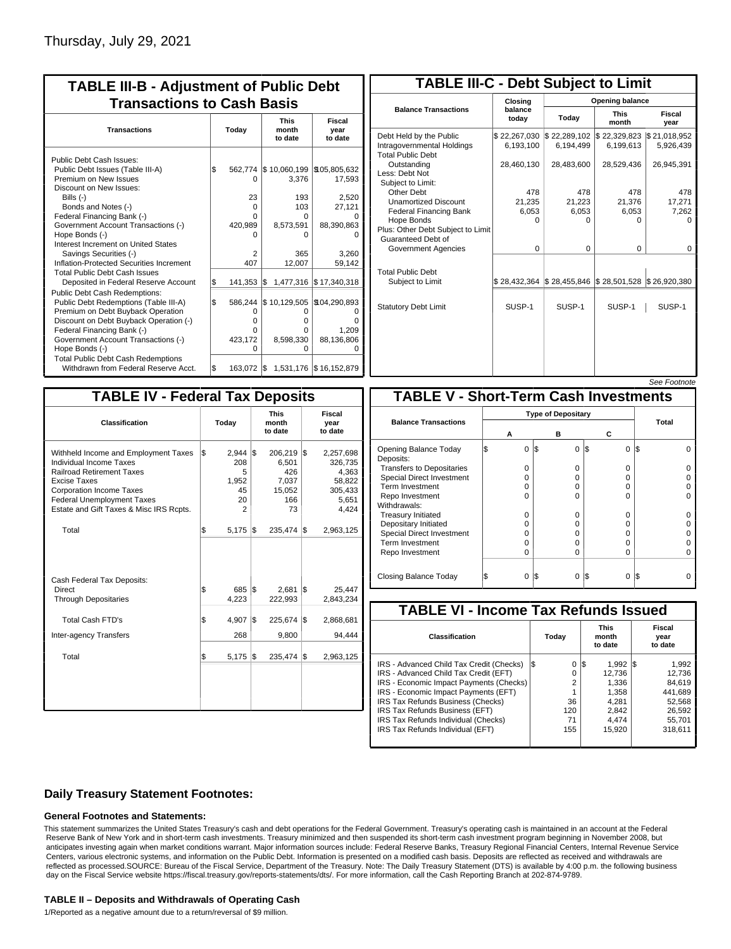| <b>TABLE III-B - Adjustment of Public Debt</b><br><b>Transactions to Cash Basis</b>                                                                                                                                                                                                                                                                                                              |     |                                                                 |                                                                                           |                                                            |  |  |  |  |  |
|--------------------------------------------------------------------------------------------------------------------------------------------------------------------------------------------------------------------------------------------------------------------------------------------------------------------------------------------------------------------------------------------------|-----|-----------------------------------------------------------------|-------------------------------------------------------------------------------------------|------------------------------------------------------------|--|--|--|--|--|
| <b>Transactions</b>                                                                                                                                                                                                                                                                                                                                                                              |     | Today                                                           | <b>This</b><br>month<br>to date                                                           | Fiscal<br>year<br>to date                                  |  |  |  |  |  |
| Public Debt Cash Issues:<br>Public Debt Issues (Table III-A)<br>Premium on New Issues<br>Discount on New Issues:<br>Bills (-)<br>Bonds and Notes (-)<br>Federal Financing Bank (-)<br>Government Account Transactions (-)<br>Hope Bonds (-)<br>Interest Increment on United States<br>Savings Securities (-)<br>Inflation-Protected Securities Increment<br><b>Total Public Debt Cash Issues</b> | \$  | 562,774<br>0<br>23<br>$\Omega$<br>U<br>420,989<br>n<br>2<br>407 | \$10,060,199 \$105,805,632<br>3,376<br>193<br>103<br>O<br>8,573,591<br>0<br>365<br>12,007 | 17,593<br>2,520<br>27,121<br>88,390,863<br>3.260<br>59,142 |  |  |  |  |  |
| Deposited in Federal Reserve Account<br>Public Debt Cash Redemptions:                                                                                                                                                                                                                                                                                                                            | S.  | 141,353                                                         | l\$<br>1,477,316                                                                          | \$17,340,318                                               |  |  |  |  |  |
| Public Debt Redemptions (Table III-A)<br>Premium on Debt Buyback Operation<br>Discount on Debt Buyback Operation (-)<br>Federal Financing Bank (-)<br>Government Account Transactions (-)<br>Hope Bonds (-)                                                                                                                                                                                      | l\$ | 586,244<br>O<br>0<br>0<br>423,172<br>$\Omega$                   | \$10,129,505<br>O<br>o<br>0<br>8,598,330<br>0                                             | \$104,290,893<br>ŋ<br>1,209<br>88,136,806<br>O             |  |  |  |  |  |
| <b>Total Public Debt Cash Redemptions</b><br>Withdrawn from Federal Reserve Acct.                                                                                                                                                                                                                                                                                                                | l\$ | 163.072                                                         | $\frac{1}{3}$ 1.531.176 $\frac{1}{3}$ 16,152,879                                          |                                                            |  |  |  |  |  |

| <b>TABLE III-C - Debt Subject to Limit</b>                                        |                           |                                                                                                     |                           |                           |  |  |  |  |  |
|-----------------------------------------------------------------------------------|---------------------------|-----------------------------------------------------------------------------------------------------|---------------------------|---------------------------|--|--|--|--|--|
|                                                                                   | Closing                   | Opening balance                                                                                     |                           |                           |  |  |  |  |  |
| <b>Balance Transactions</b>                                                       | balance<br>today          | Today                                                                                               | <b>This</b><br>month      | Fiscal<br>year            |  |  |  |  |  |
| Debt Held by the Public<br>Intragovernmental Holdings<br><b>Total Public Debt</b> | \$22,267,030<br>6,193,100 | \$22,289,102<br>6,194,499                                                                           | \$22,329,823<br>6,199,613 | \$21,018,952<br>5,926,439 |  |  |  |  |  |
| Outstanding<br>Less: Debt Not<br>Subject to Limit:                                | 28,460,130                | 28,483,600                                                                                          | 28,529,436                | 26,945,391                |  |  |  |  |  |
| Other Debt                                                                        | 478                       | 478                                                                                                 | 478                       | 478                       |  |  |  |  |  |
| <b>Unamortized Discount</b>                                                       | 21,235                    | 21,223                                                                                              | 21,376                    | 17,271                    |  |  |  |  |  |
| <b>Federal Financing Bank</b>                                                     | 6,053                     | 6,053                                                                                               | 6,053                     | 7,262                     |  |  |  |  |  |
| Hope Bonds                                                                        | 0                         | O                                                                                                   | 0                         | o                         |  |  |  |  |  |
| Plus: Other Debt Subject to Limit<br>Guaranteed Debt of                           |                           |                                                                                                     |                           |                           |  |  |  |  |  |
| Government Agencies                                                               | $\Omega$                  | $\Omega$                                                                                            | $\Omega$                  | $\Omega$                  |  |  |  |  |  |
| <b>Total Public Debt</b>                                                          |                           |                                                                                                     |                           |                           |  |  |  |  |  |
| Subject to Limit                                                                  |                           | $\frac{1}{2}$ 28,432,364 $\frac{1}{2}$ 28,455,846 $\frac{1}{2}$ 28,501,528 $\frac{1}{2}$ 26,920,380 |                           |                           |  |  |  |  |  |
| <b>Statutory Debt Limit</b>                                                       | SUSP-1                    | SUSP-1                                                                                              | SUSP-1                    | SUSP-1                    |  |  |  |  |  |
|                                                                                   |                           |                                                                                                     |                           | See Footpote              |  |  |  |  |  |

| <b>TABLE IV - Federal Tax Deposits</b>                                                                                                                                                                                                        |     |                                                          |     |                                                         |     |                                                                      |  |  |
|-----------------------------------------------------------------------------------------------------------------------------------------------------------------------------------------------------------------------------------------------|-----|----------------------------------------------------------|-----|---------------------------------------------------------|-----|----------------------------------------------------------------------|--|--|
| <b>Classification</b>                                                                                                                                                                                                                         |     | Today                                                    |     | <b>This</b><br>month<br>to date                         |     | Fiscal<br>year<br>to date                                            |  |  |
| Withheld Income and Employment Taxes<br>Individual Income Taxes<br><b>Railroad Retirement Taxes</b><br><b>Excise Taxes</b><br><b>Corporation Income Taxes</b><br><b>Federal Unemployment Taxes</b><br>Estate and Gift Taxes & Misc IRS Rcpts. | l\$ | 2,944<br>208<br>5<br>1,952<br>45<br>20<br>$\overline{2}$ | l\$ | 206,219<br>6,501<br>426<br>7,037<br>15,052<br>166<br>73 | l\$ | 2,257,698<br>326,735<br>4,363<br>58,822<br>305,433<br>5,651<br>4,424 |  |  |
| Total                                                                                                                                                                                                                                         | \$  | 5,175                                                    | I\$ | 235,474                                                 | l\$ | 2,963,125                                                            |  |  |
| Cash Federal Tax Deposits:<br><b>Direct</b><br><b>Through Depositaries</b>                                                                                                                                                                    | \$  | 685<br>4,223                                             | l\$ | 2,681<br>222,993                                        | 1\$ | 25,447<br>2,843,234                                                  |  |  |
| <b>Total Cash FTD's</b>                                                                                                                                                                                                                       | Ŝ.  | 4,907                                                    | l\$ | 225,674                                                 | l\$ | 2,868,681                                                            |  |  |
| <b>Inter-agency Transfers</b>                                                                                                                                                                                                                 |     | 268                                                      |     | 9,800                                                   |     | 94,444                                                               |  |  |
| Total                                                                                                                                                                                                                                         | l\$ | 5,175                                                    | 1\$ | $235,474$ \$                                            |     | 2,963,125                                                            |  |  |
|                                                                                                                                                                                                                                               |     |                                                          |     |                                                         |     |                                                                      |  |  |

| <b>TABLE V - Short-Term Cash Investments</b> |                           |          |                 |       |  |  |  |  |
|----------------------------------------------|---------------------------|----------|-----------------|-------|--|--|--|--|
|                                              | <b>Type of Depositary</b> |          |                 |       |  |  |  |  |
| <b>Balance Transactions</b>                  |                           |          |                 | Total |  |  |  |  |
|                                              | А                         | в        | С               |       |  |  |  |  |
| Opening Balance Today<br>Deposits:           | 0                         | I\$<br>0 | I\$<br>$\Omega$ | I\$   |  |  |  |  |
| <b>Transfers to Depositaries</b>             | O                         | O        | 0               |       |  |  |  |  |
| <b>Special Direct Investment</b>             | Ω                         | Ω        | 0               |       |  |  |  |  |
| <b>Term Investment</b>                       | 0                         | O        | 0               |       |  |  |  |  |
| Repo Investment                              | n                         | n        | U               |       |  |  |  |  |
| Withdrawals:                                 |                           |          |                 |       |  |  |  |  |
| <b>Treasury Initiated</b>                    | O                         | 0        | 0               |       |  |  |  |  |
| Depositary Initiated                         | Ω                         | Ω        | 0               |       |  |  |  |  |
| <b>Special Direct Investment</b>             | Ω                         |          | 0               |       |  |  |  |  |
| <b>Term Investment</b>                       | ი                         | Ω        | 0               |       |  |  |  |  |
| Repo Investment                              | 0                         | 0        | 0               |       |  |  |  |  |
|                                              |                           |          |                 |       |  |  |  |  |
| Closing Balance Today                        | 0                         | IS.<br>0 | S<br>0          | l\$   |  |  |  |  |

| <b>TABLE VI - Income Tax Refunds Issued</b> |     |       |    |                                 |  |                           |  |  |  |
|---------------------------------------------|-----|-------|----|---------------------------------|--|---------------------------|--|--|--|
| Classification                              |     | Today |    | <b>This</b><br>month<br>to date |  | Fiscal<br>year<br>to date |  |  |  |
| IRS - Advanced Child Tax Credit (Checks)    | l\$ | 0     | 13 | $1,992$ \\$                     |  | 1,992                     |  |  |  |
| IRS - Advanced Child Tax Credit (EFT)       |     | 0     |    | 12.736                          |  | 12,736                    |  |  |  |
| IRS - Economic Impact Payments (Checks)     |     | 2     |    | 1.336                           |  | 84.619                    |  |  |  |
| IRS - Economic Impact Payments (EFT)        |     | 1     |    | 1.358                           |  | 441,689                   |  |  |  |
| IRS Tax Refunds Business (Checks)           |     | 36    |    | 4.281                           |  | 52.568                    |  |  |  |
| IRS Tax Refunds Business (EFT)              |     | 120   |    | 2,842                           |  | 26,592                    |  |  |  |
| IRS Tax Refunds Individual (Checks)         |     | 71    |    | 4.474                           |  | 55.701                    |  |  |  |
| IRS Tax Refunds Individual (EFT)            |     | 155   |    | 15,920                          |  | 318,611                   |  |  |  |
|                                             |     |       |    |                                 |  |                           |  |  |  |

## **Daily Treasury Statement Footnotes:**

#### **General Footnotes and Statements:**

This statement summarizes the United States Treasury's cash and debt operations for the Federal Government. Treasury's operating cash is maintained in an account at the Federal Reserve Bank of New York and in short-term cash investments. Treasury minimized and then suspended its short-term cash investment program beginning in November 2008, but anticipates investing again when market conditions warrant. Major information sources include: Federal Reserve Banks, Treasury Regional Financial Centers, Internal Revenue Service Centers, various electronic systems, and information on the Public Debt. Information is presented on a modified cash basis. Deposits are reflected as received and withdrawals are reflected as processed.SOURCE: Bureau of the Fiscal Service, Department of the Treasury. Note: The Daily Treasury Statement (DTS) is available by 4:00 p.m. the following business day on the Fiscal Service website https://fiscal.treasury.gov/reports-statements/dts/. For more information, call the Cash Reporting Branch at 202-874-9789.

#### **TABLE II – Deposits and Withdrawals of Operating Cash**

1/Reported as a negative amount due to a return/reversal of \$9 million.